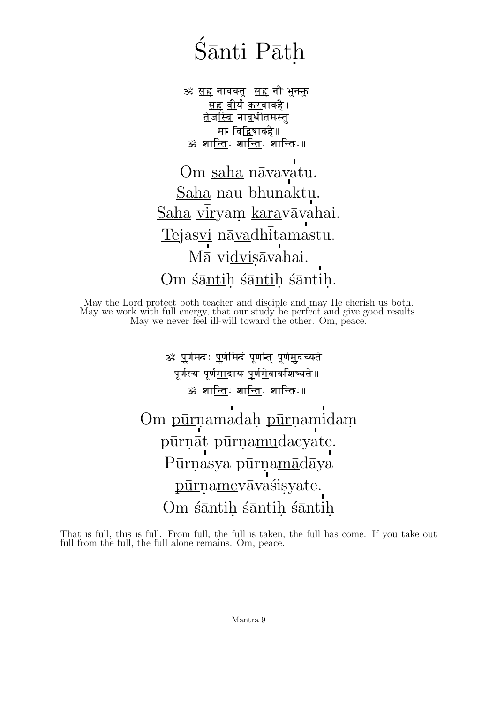## $\rm \acute{s}$ ānti Pāth .

ॐ <u>सह</u> नावक्तु । <u>सह</u> नौ भुनक्गु । <u>सह</u> <u>वी</u>र्यं <u>कर</u>वावहै । <u>तेजस्व</u>ि न<u>ाव</u>धीतमस्तू । मा वि<u>द्व</u>िषावहै॥ ॐ श<u>ान्तिः शान्तिः</u> शान्तिः॥

Om saha nāvavatu. Saha nau bhunaktu. <u>Saha viryam kara</u>vāvahai. Tejasvi nāvadhitamastu. Mā vidvisāvahai. Om śāntiḥ śāntiḥ śāntiḥ.

May the Lord protect both teacher and disciple and may He cherish us both. May we work with full energy, that our study be perfect and give good results. May we never feel ill-will toward the other. Om, peace.

> ॐ <u>प</u>र्णमदः <u>प</u>र्णमिदं पूर्णात पूर्ण<u>म</u>दच्यते । पूर्णस्य पूर्ण<u>म</u>ादाय <u>पूर्णमे</u>वावशिष्यते॥ ॐ श<u>ान्ति</u>ः शा<u>न्ति</u>ः शान्तिः॥

Om pūrnamadah pūrna midam. pūrnāt pūrna<u>mu</u>dacyate. Pūrnasya pūrnamādāya pūrnamevāvasisyate. Om śāntih śāntih śāntih.

That is full, this is full. From full, the full is taken, the full has come. If you take out full from the full, the full alone remains. Om, peace.